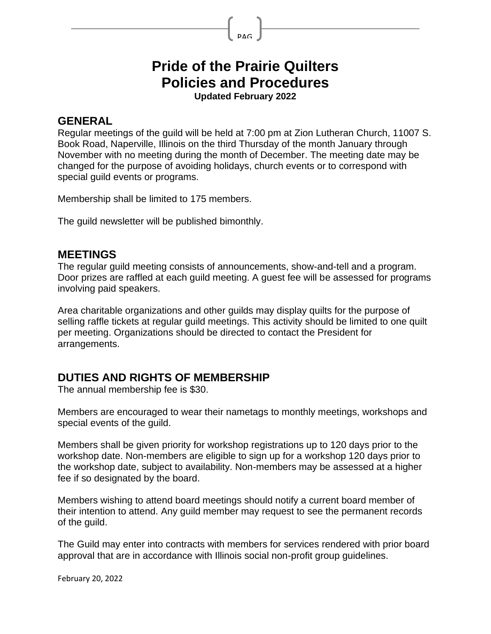# **Pride of the Prairie Quilters Policies and Procedures**

PAG

**Updated February 2022**

#### **GENERAL**

Regular meetings of the guild will be held at 7:00 pm at Zion Lutheran Church, 11007 S. Book Road, Naperville, Illinois on the third Thursday of the month January through November with no meeting during the month of December. The meeting date may be changed for the purpose of avoiding holidays, church events or to correspond with special guild events or programs.

Membership shall be limited to 175 members.

The guild newsletter will be published bimonthly.

#### **MEETINGS**

The regular guild meeting consists of announcements, show-and-tell and a program. Door prizes are raffled at each guild meeting. A guest fee will be assessed for programs involving paid speakers.

Area charitable organizations and other guilds may display quilts for the purpose of selling raffle tickets at regular guild meetings. This activity should be limited to one quilt per meeting. Organizations should be directed to contact the President for arrangements.

## **DUTIES AND RIGHTS OF MEMBERSHIP**

The annual membership fee is \$30.

Members are encouraged to wear their nametags to monthly meetings, workshops and special events of the guild.

Members shall be given priority for workshop registrations up to 120 days prior to the workshop date. Non-members are eligible to sign up for a workshop 120 days prior to the workshop date, subject to availability. Non-members may be assessed at a higher fee if so designated by the board.

Members wishing to attend board meetings should notify a current board member of their intention to attend. Any guild member may request to see the permanent records of the guild.

The Guild may enter into contracts with members for services rendered with prior board approval that are in accordance with Illinois social non-profit group guidelines.

February 20, 2022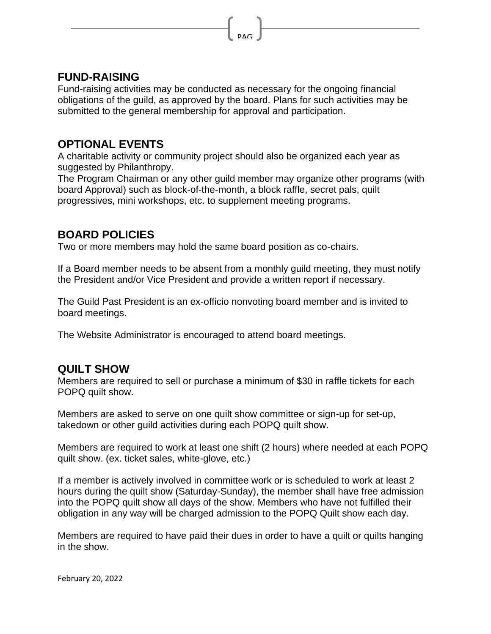#### **FUND-RAISING**

Fund-raising activities may be conducted as necessary for the ongoing financial obligations of the guild, as approved by the board. Plans for such activities may be submitted to the general membership for approval and participation.

PAG

## **OPTIONAL EVENTS**

A charitable activity or community project should also be organized each year as suggested by Philanthropy.

The Program Chairman or any other guild member may organize other programs (with board Approval) such as block-of-the-month, a block raffle, secret pals, quilt progressives, mini workshops, etc. to supplement meeting programs.

## **BOARD POLICIES**

Two or more members may hold the same board position as co-chairs.

If a Board member needs to be absent from a monthly guild meeting, they must notify the President and/or Vice President and provide a written report if necessary.

The Guild Past President is an ex-officio nonvoting board member and is invited to board meetings.

The Website Administrator is encouraged to attend board meetings.

### **QUILT SHOW**

Members are required to sell or purchase a minimum of \$30 in raffle tickets for each POPQ quilt show.

Members are asked to serve on one quilt show committee or sign-up for set-up, takedown or other guild activities during each POPQ quilt show.

Members are required to work at least one shift (2 hours) where needed at each POPQ quilt show. (ex. ticket sales, white-glove, etc.)

If a member is actively involved in committee work or is scheduled to work at least 2 hours during the quilt show (Saturday-Sunday), the member shall have free admission into the POPQ quilt show all days of the show. Members who have not fulfilled their obligation in any way will be charged admission to the POPQ Quilt show each day.

Members are required to have paid their dues in order to have a quilt or quilts hanging in the show.